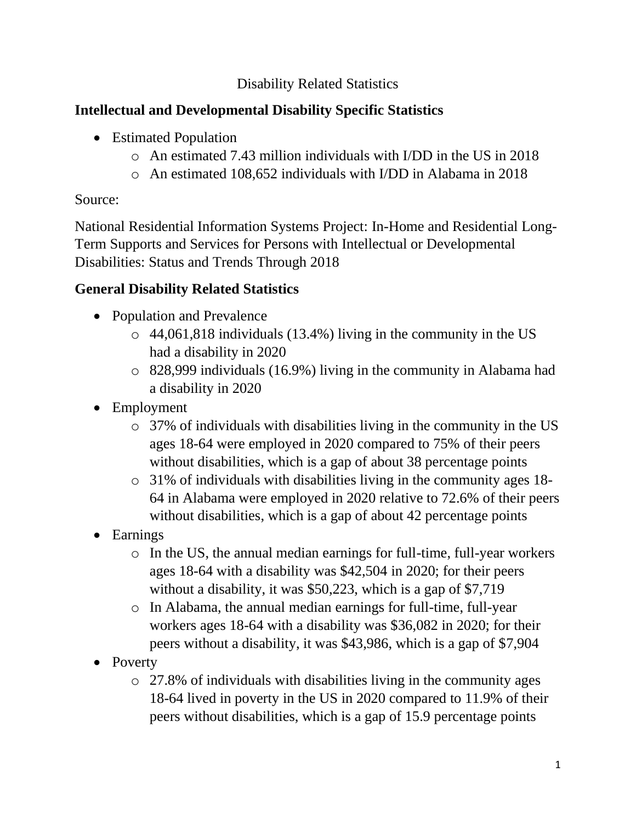#### Disability Related Statistics

## **Intellectual and Developmental Disability Specific Statistics**

- Estimated Population
	- o An estimated 7.43 million individuals with I/DD in the US in 2018
	- o An estimated 108,652 individuals with I/DD in Alabama in 2018

#### Source:

National Residential Information Systems Project: In-Home and Residential Long-Term Supports and Services for Persons with Intellectual or Developmental Disabilities: Status and Trends Through 2018

# **General Disability Related Statistics**

- Population and Prevalence
	- o 44,061,818 individuals (13.4%) living in the community in the US had a disability in 2020
	- o 828,999 individuals (16.9%) living in the community in Alabama had a disability in 2020
- Employment
	- o 37% of individuals with disabilities living in the community in the US ages 18-64 were employed in 2020 compared to 75% of their peers without disabilities, which is a gap of about 38 percentage points
	- o 31% of individuals with disabilities living in the community ages 18- 64 in Alabama were employed in 2020 relative to 72.6% of their peers without disabilities, which is a gap of about 42 percentage points
- Earnings
	- o In the US, the annual median earnings for full-time, full-year workers ages 18-64 with a disability was \$42,504 in 2020; for their peers without a disability, it was \$50,223, which is a gap of \$7,719
	- o In Alabama, the annual median earnings for full-time, full-year workers ages 18-64 with a disability was \$36,082 in 2020; for their peers without a disability, it was \$43,986, which is a gap of \$7,904
- Poverty
	- o 27.8% of individuals with disabilities living in the community ages 18-64 lived in poverty in the US in 2020 compared to 11.9% of their peers without disabilities, which is a gap of 15.9 percentage points